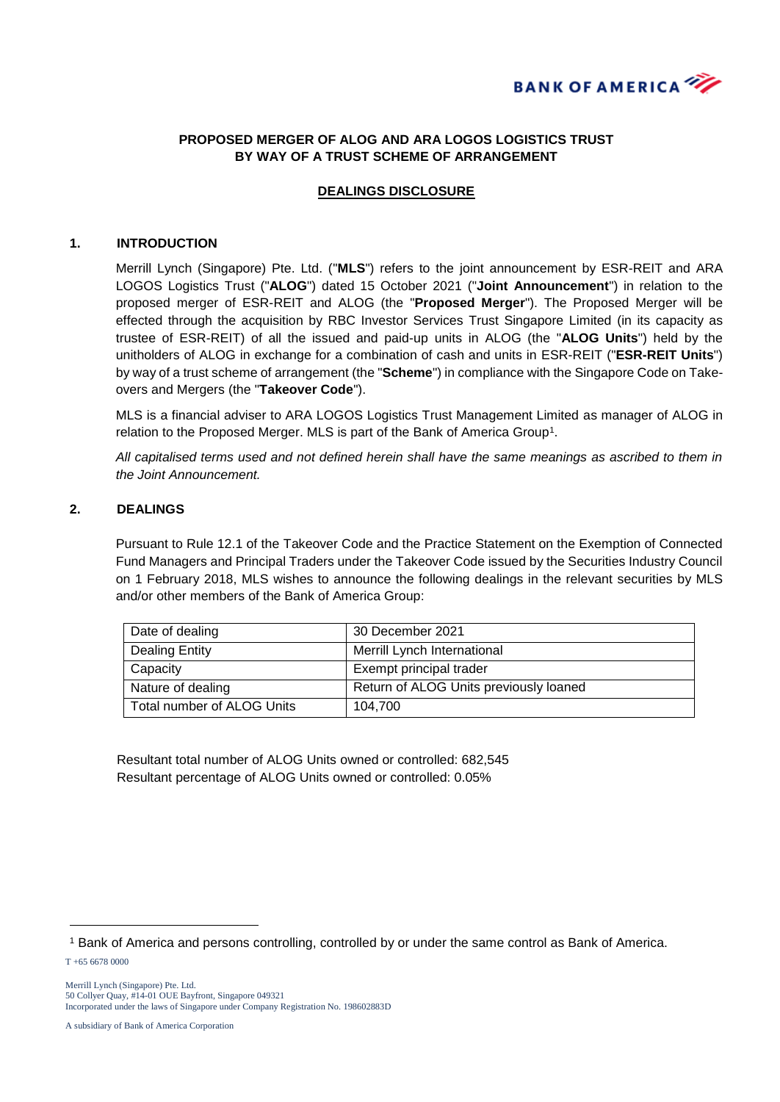

## **PROPOSED MERGER OF ALOG AND ARA LOGOS LOGISTICS TRUST BY WAY OF A TRUST SCHEME OF ARRANGEMENT**

## **DEALINGS DISCLOSURE**

#### **1. INTRODUCTION**

Merrill Lynch (Singapore) Pte. Ltd. ("**MLS**") refers to the joint announcement by ESR-REIT and ARA LOGOS Logistics Trust ("**ALOG**") dated 15 October 2021 ("**Joint Announcement**") in relation to the proposed merger of ESR-REIT and ALOG (the "**Proposed Merger**"). The Proposed Merger will be effected through the acquisition by RBC Investor Services Trust Singapore Limited (in its capacity as trustee of ESR-REIT) of all the issued and paid-up units in ALOG (the "**ALOG Units**") held by the unitholders of ALOG in exchange for a combination of cash and units in ESR-REIT ("**ESR-REIT Units**") by way of a trust scheme of arrangement (the "**Scheme**") in compliance with the Singapore Code on Takeovers and Mergers (the "**Takeover Code**").

MLS is a financial adviser to ARA LOGOS Logistics Trust Management Limited as manager of ALOG in relation to the Proposed Merger. MLS is part of the Bank of America Group<sup>1</sup>.

*All capitalised terms used and not defined herein shall have the same meanings as ascribed to them in the Joint Announcement.*

### **2. DEALINGS**

Pursuant to Rule 12.1 of the Takeover Code and the Practice Statement on the Exemption of Connected Fund Managers and Principal Traders under the Takeover Code issued by the Securities Industry Council on 1 February 2018, MLS wishes to announce the following dealings in the relevant securities by MLS and/or other members of the Bank of America Group:

| Date of dealing            | 30 December 2021                       |
|----------------------------|----------------------------------------|
| Dealing Entity             | Merrill Lynch International            |
| Capacity                   | Exempt principal trader                |
| Nature of dealing          | Return of ALOG Units previously loaned |
| Total number of ALOG Units | 104.700                                |

Resultant total number of ALOG Units owned or controlled: 682,545 Resultant percentage of ALOG Units owned or controlled: 0.05%

-

<sup>1</sup> Bank of America and persons controlling, controlled by or under the same control as Bank of America.

T +65 6678 0000